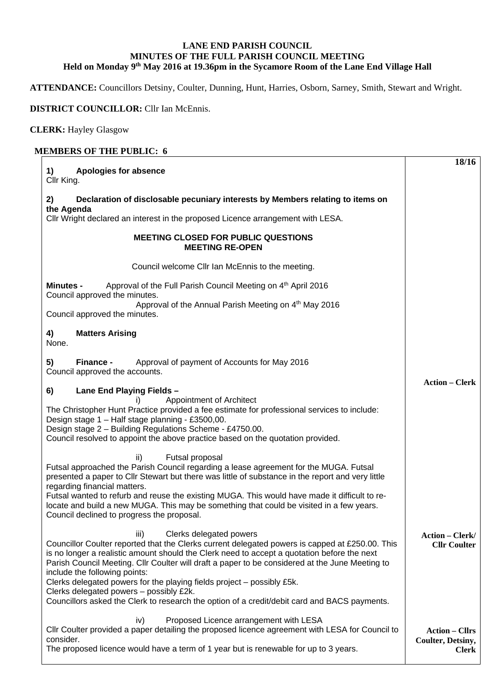## **LANE END PARISH COUNCIL MINUTES OF THE FULL PARISH COUNCIL MEETING Held on Monday 9th May 2016 at 19.36pm in the Sycamore Room of the Lane End Village Hall**

**ATTENDANCE:** Councillors Detsiny, Coulter, Dunning, Hunt, Harries, Osborn, Sarney, Smith, Stewart and Wright.

## **DISTRICT COUNCILLOR:** Cllr Ian McEnnis.

## **CLERK:** Hayley Glasgow

| 1)<br>Apologies for absence<br>Cllr King.                                                                                                                                                                                                                                                                                                                                                                                                                                                                                                                                                  | 18/16                                                      |
|--------------------------------------------------------------------------------------------------------------------------------------------------------------------------------------------------------------------------------------------------------------------------------------------------------------------------------------------------------------------------------------------------------------------------------------------------------------------------------------------------------------------------------------------------------------------------------------------|------------------------------------------------------------|
| Declaration of disclosable pecuniary interests by Members relating to items on<br>2)                                                                                                                                                                                                                                                                                                                                                                                                                                                                                                       |                                                            |
| the Agenda<br>Cllr Wright declared an interest in the proposed Licence arrangement with LESA.                                                                                                                                                                                                                                                                                                                                                                                                                                                                                              |                                                            |
| <b>MEETING CLOSED FOR PUBLIC QUESTIONS</b><br><b>MEETING RE-OPEN</b>                                                                                                                                                                                                                                                                                                                                                                                                                                                                                                                       |                                                            |
| Council welcome Cllr Ian McEnnis to the meeting.                                                                                                                                                                                                                                                                                                                                                                                                                                                                                                                                           |                                                            |
| Approval of the Full Parish Council Meeting on 4 <sup>th</sup> April 2016<br><b>Minutes -</b><br>Council approved the minutes.                                                                                                                                                                                                                                                                                                                                                                                                                                                             |                                                            |
| Approval of the Annual Parish Meeting on 4th May 2016<br>Council approved the minutes.                                                                                                                                                                                                                                                                                                                                                                                                                                                                                                     |                                                            |
| <b>Matters Arising</b><br>4)<br>None.                                                                                                                                                                                                                                                                                                                                                                                                                                                                                                                                                      |                                                            |
| Approval of payment of Accounts for May 2016<br>5)<br>Finance -<br>Council approved the accounts.                                                                                                                                                                                                                                                                                                                                                                                                                                                                                          | <b>Action – Clerk</b>                                      |
| 6)<br>Lane End Playing Fields -<br>Appointment of Architect<br>i).<br>The Christopher Hunt Practice provided a fee estimate for professional services to include:<br>Design stage 1 - Half stage planning - £3500,00.<br>Design stage 2 - Building Regulations Scheme - £4750.00.<br>Council resolved to appoint the above practice based on the quotation provided.                                                                                                                                                                                                                       |                                                            |
| Futsal proposal<br>ii)<br>Futsal approached the Parish Council regarding a lease agreement for the MUGA. Futsal<br>presented a paper to Cllr Stewart but there was little of substance in the report and very little<br>regarding financial matters.<br>Futsal wanted to refurb and reuse the existing MUGA. This would have made it difficult to re-<br>locate and build a new MUGA. This may be something that could be visited in a few years.<br>Council declined to progress the proposal.                                                                                            |                                                            |
| Clerks delegated powers<br>iii)<br>Councillor Coulter reported that the Clerks current delegated powers is capped at £250.00. This<br>is no longer a realistic amount should the Clerk need to accept a quotation before the next<br>Parish Council Meeting. Cllr Coulter will draft a paper to be considered at the June Meeting to<br>include the following points:<br>Clerks delegated powers for the playing fields project - possibly £5k.<br>Clerks delegated powers - possibly £2k.<br>Councillors asked the Clerk to research the option of a credit/debit card and BACS payments. | <b>Action – Clerk/</b><br><b>Cllr Coulter</b>              |
| Proposed Licence arrangement with LESA<br>iv)<br>CIIr Coulter provided a paper detailing the proposed licence agreement with LESA for Council to<br>consider.<br>The proposed licence would have a term of 1 year but is renewable for up to 3 years.                                                                                                                                                                                                                                                                                                                                      | <b>Action – Cllrs</b><br>Coulter, Detsiny,<br><b>Clerk</b> |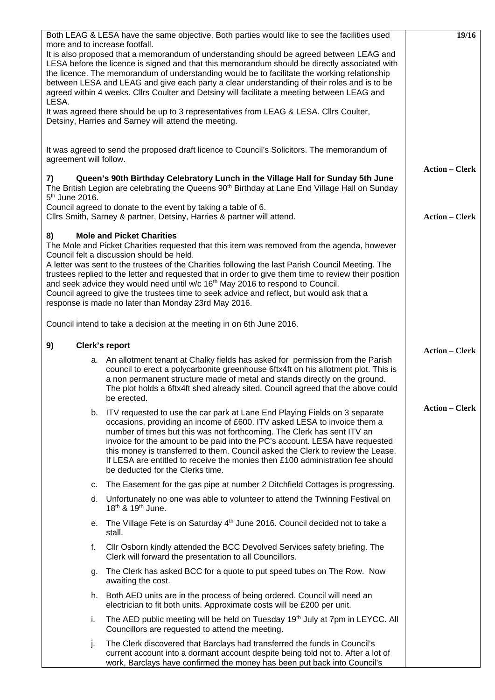| more and to increase footfall.<br>LESA.<br>agreement will follow.<br>7)<br>5 <sup>th</sup> June 2016.                                                                                                                                                                                                                                                                                                                                                                                                                                                                                                                                               | Both LEAG & LESA have the same objective. Both parties would like to see the facilities used<br>It is also proposed that a memorandum of understanding should be agreed between LEAG and<br>LESA before the licence is signed and that this memorandum should be directly associated with<br>the licence. The memorandum of understanding would be to facilitate the working relationship<br>between LESA and LEAG and give each party a clear understanding of their roles and is to be<br>agreed within 4 weeks. Cllrs Coulter and Detsiny will facilitate a meeting between LEAG and<br>It was agreed there should be up to 3 representatives from LEAG & LESA. ClIrs Coulter,<br>Detsiny, Harries and Sarney will attend the meeting.<br>It was agreed to send the proposed draft licence to Council's Solicitors. The memorandum of<br>Queen's 90th Birthday Celebratory Lunch in the Village Hall for Sunday 5th June<br>The British Legion are celebrating the Queens 90 <sup>th</sup> Birthday at Lane End Village Hall on Sunday | 19/16<br><b>Action – Clerk</b> |
|-----------------------------------------------------------------------------------------------------------------------------------------------------------------------------------------------------------------------------------------------------------------------------------------------------------------------------------------------------------------------------------------------------------------------------------------------------------------------------------------------------------------------------------------------------------------------------------------------------------------------------------------------------|-------------------------------------------------------------------------------------------------------------------------------------------------------------------------------------------------------------------------------------------------------------------------------------------------------------------------------------------------------------------------------------------------------------------------------------------------------------------------------------------------------------------------------------------------------------------------------------------------------------------------------------------------------------------------------------------------------------------------------------------------------------------------------------------------------------------------------------------------------------------------------------------------------------------------------------------------------------------------------------------------------------------------------------------|--------------------------------|
|                                                                                                                                                                                                                                                                                                                                                                                                                                                                                                                                                                                                                                                     | Council agreed to donate to the event by taking a table of 6.<br>Cllrs Smith, Sarney & partner, Detsiny, Harries & partner will attend.                                                                                                                                                                                                                                                                                                                                                                                                                                                                                                                                                                                                                                                                                                                                                                                                                                                                                                   | <b>Action - Clerk</b>          |
| <b>Mole and Picket Charities</b><br>8)<br>The Mole and Picket Charities requested that this item was removed from the agenda, however<br>Council felt a discussion should be held.<br>A letter was sent to the trustees of the Charities following the last Parish Council Meeting. The<br>trustees replied to the letter and requested that in order to give them time to review their position<br>and seek advice they would need until w/c 16 <sup>th</sup> May 2016 to respond to Council.<br>Council agreed to give the trustees time to seek advice and reflect, but would ask that a<br>response is made no later than Monday 23rd May 2016. |                                                                                                                                                                                                                                                                                                                                                                                                                                                                                                                                                                                                                                                                                                                                                                                                                                                                                                                                                                                                                                           |                                |
|                                                                                                                                                                                                                                                                                                                                                                                                                                                                                                                                                                                                                                                     | Council intend to take a decision at the meeting in on 6th June 2016.                                                                                                                                                                                                                                                                                                                                                                                                                                                                                                                                                                                                                                                                                                                                                                                                                                                                                                                                                                     |                                |
| 9)                                                                                                                                                                                                                                                                                                                                                                                                                                                                                                                                                                                                                                                  | <b>Clerk's report</b>                                                                                                                                                                                                                                                                                                                                                                                                                                                                                                                                                                                                                                                                                                                                                                                                                                                                                                                                                                                                                     | <b>Action - Clerk</b>          |
| а.                                                                                                                                                                                                                                                                                                                                                                                                                                                                                                                                                                                                                                                  | An allotment tenant at Chalky fields has asked for permission from the Parish<br>council to erect a polycarbonite greenhouse 6ftx4ft on his allotment plot. This is<br>a non permanent structure made of metal and stands directly on the ground.<br>The plot holds a 6ftx4ft shed already sited. Council agreed that the above could<br>be erected.                                                                                                                                                                                                                                                                                                                                                                                                                                                                                                                                                                                                                                                                                      |                                |
|                                                                                                                                                                                                                                                                                                                                                                                                                                                                                                                                                                                                                                                     | b. ITV requested to use the car park at Lane End Playing Fields on 3 separate<br>occasions, providing an income of £600. ITV asked LESA to invoice them a<br>number of times but this was not forthcoming. The Clerk has sent ITV an<br>invoice for the amount to be paid into the PC's account. LESA have requested<br>this money is transferred to them. Council asked the Clerk to review the Lease.<br>If LESA are entitled to receive the monies then £100 administration fee should<br>be deducted for the Clerks time.                                                                                                                                                                                                                                                                                                                                                                                                                                                                                                             | <b>Action - Clerk</b>          |
| с.                                                                                                                                                                                                                                                                                                                                                                                                                                                                                                                                                                                                                                                  | The Easement for the gas pipe at number 2 Ditchfield Cottages is progressing.                                                                                                                                                                                                                                                                                                                                                                                                                                                                                                                                                                                                                                                                                                                                                                                                                                                                                                                                                             |                                |
| d.                                                                                                                                                                                                                                                                                                                                                                                                                                                                                                                                                                                                                                                  | Unfortunately no one was able to volunteer to attend the Twinning Festival on<br>18 <sup>th</sup> & 19 <sup>th</sup> June.                                                                                                                                                                                                                                                                                                                                                                                                                                                                                                                                                                                                                                                                                                                                                                                                                                                                                                                |                                |
| е.                                                                                                                                                                                                                                                                                                                                                                                                                                                                                                                                                                                                                                                  | The Village Fete is on Saturday 4 <sup>th</sup> June 2016. Council decided not to take a<br>stall.                                                                                                                                                                                                                                                                                                                                                                                                                                                                                                                                                                                                                                                                                                                                                                                                                                                                                                                                        |                                |
| f.                                                                                                                                                                                                                                                                                                                                                                                                                                                                                                                                                                                                                                                  | Cllr Osborn kindly attended the BCC Devolved Services safety briefing. The<br>Clerk will forward the presentation to all Councillors.                                                                                                                                                                                                                                                                                                                                                                                                                                                                                                                                                                                                                                                                                                                                                                                                                                                                                                     |                                |
| g.                                                                                                                                                                                                                                                                                                                                                                                                                                                                                                                                                                                                                                                  | The Clerk has asked BCC for a quote to put speed tubes on The Row. Now<br>awaiting the cost.                                                                                                                                                                                                                                                                                                                                                                                                                                                                                                                                                                                                                                                                                                                                                                                                                                                                                                                                              |                                |
| h.                                                                                                                                                                                                                                                                                                                                                                                                                                                                                                                                                                                                                                                  | Both AED units are in the process of being ordered. Council will need an<br>electrician to fit both units. Approximate costs will be £200 per unit.                                                                                                                                                                                                                                                                                                                                                                                                                                                                                                                                                                                                                                                                                                                                                                                                                                                                                       |                                |
| i.                                                                                                                                                                                                                                                                                                                                                                                                                                                                                                                                                                                                                                                  | The AED public meeting will be held on Tuesday 19th July at 7pm in LEYCC. All<br>Councillors are requested to attend the meeting.                                                                                                                                                                                                                                                                                                                                                                                                                                                                                                                                                                                                                                                                                                                                                                                                                                                                                                         |                                |
| j.                                                                                                                                                                                                                                                                                                                                                                                                                                                                                                                                                                                                                                                  | The Clerk discovered that Barclays had transferred the funds in Council's<br>current account into a dormant account despite being told not to. After a lot of<br>work, Barclays have confirmed the money has been put back into Council's                                                                                                                                                                                                                                                                                                                                                                                                                                                                                                                                                                                                                                                                                                                                                                                                 |                                |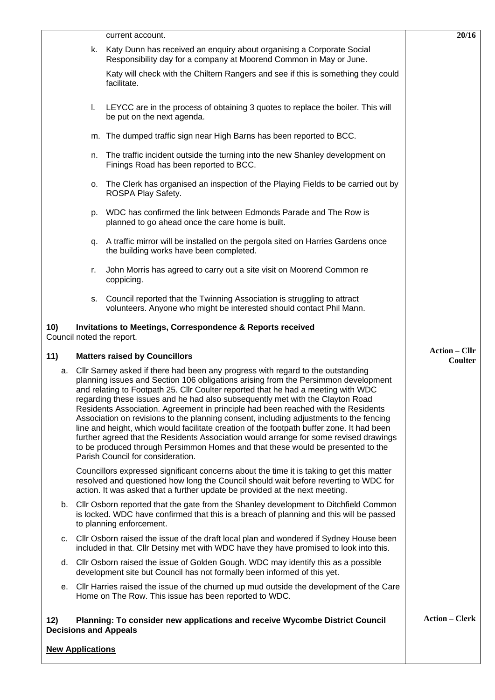|     |                                                                                                                                                                                                                                                                                                                                                                                                                                                                                                                                                                                                                                                                                                                                                                                                                                                                                  | current account.                                                                                                                                 | 20/16                 |
|-----|----------------------------------------------------------------------------------------------------------------------------------------------------------------------------------------------------------------------------------------------------------------------------------------------------------------------------------------------------------------------------------------------------------------------------------------------------------------------------------------------------------------------------------------------------------------------------------------------------------------------------------------------------------------------------------------------------------------------------------------------------------------------------------------------------------------------------------------------------------------------------------|--------------------------------------------------------------------------------------------------------------------------------------------------|-----------------------|
|     | k.                                                                                                                                                                                                                                                                                                                                                                                                                                                                                                                                                                                                                                                                                                                                                                                                                                                                               | Katy Dunn has received an enquiry about organising a Corporate Social<br>Responsibility day for a company at Moorend Common in May or June.      |                       |
|     |                                                                                                                                                                                                                                                                                                                                                                                                                                                                                                                                                                                                                                                                                                                                                                                                                                                                                  | Katy will check with the Chiltern Rangers and see if this is something they could<br>facilitate.                                                 |                       |
|     | L.                                                                                                                                                                                                                                                                                                                                                                                                                                                                                                                                                                                                                                                                                                                                                                                                                                                                               | LEYCC are in the process of obtaining 3 quotes to replace the boiler. This will<br>be put on the next agenda.                                    |                       |
|     |                                                                                                                                                                                                                                                                                                                                                                                                                                                                                                                                                                                                                                                                                                                                                                                                                                                                                  | m. The dumped traffic sign near High Barns has been reported to BCC.                                                                             |                       |
|     | n.                                                                                                                                                                                                                                                                                                                                                                                                                                                                                                                                                                                                                                                                                                                                                                                                                                                                               | The traffic incident outside the turning into the new Shanley development on<br>Finings Road has been reported to BCC.                           |                       |
|     | о.                                                                                                                                                                                                                                                                                                                                                                                                                                                                                                                                                                                                                                                                                                                                                                                                                                                                               | The Clerk has organised an inspection of the Playing Fields to be carried out by<br>ROSPA Play Safety.                                           |                       |
|     | p.                                                                                                                                                                                                                                                                                                                                                                                                                                                                                                                                                                                                                                                                                                                                                                                                                                                                               | WDC has confirmed the link between Edmonds Parade and The Row is<br>planned to go ahead once the care home is built.                             |                       |
|     | q.                                                                                                                                                                                                                                                                                                                                                                                                                                                                                                                                                                                                                                                                                                                                                                                                                                                                               | A traffic mirror will be installed on the pergola sited on Harries Gardens once<br>the building works have been completed.                       |                       |
|     | r.                                                                                                                                                                                                                                                                                                                                                                                                                                                                                                                                                                                                                                                                                                                                                                                                                                                                               | John Morris has agreed to carry out a site visit on Moorend Common re<br>coppicing.                                                              |                       |
|     | s.                                                                                                                                                                                                                                                                                                                                                                                                                                                                                                                                                                                                                                                                                                                                                                                                                                                                               | Council reported that the Twinning Association is struggling to attract<br>volunteers. Anyone who might be interested should contact Phil Mann.  |                       |
| 10) |                                                                                                                                                                                                                                                                                                                                                                                                                                                                                                                                                                                                                                                                                                                                                                                                                                                                                  | <b>Invitations to Meetings, Correspondence &amp; Reports received</b><br>Council noted the report.                                               |                       |
| 11) | <b>Action – Cllr</b><br>Coulter                                                                                                                                                                                                                                                                                                                                                                                                                                                                                                                                                                                                                                                                                                                                                                                                                                                  |                                                                                                                                                  |                       |
| a.  | <b>Matters raised by Councillors</b><br>Cllr Sarney asked if there had been any progress with regard to the outstanding<br>planning issues and Section 106 obligations arising from the Persimmon development<br>and relating to Footpath 25. Cllr Coulter reported that he had a meeting with WDC<br>regarding these issues and he had also subsequently met with the Clayton Road<br>Residents Association. Agreement in principle had been reached with the Residents<br>Association on revisions to the planning consent, including adjustments to the fencing<br>line and height, which would facilitate creation of the footpath buffer zone. It had been<br>further agreed that the Residents Association would arrange for some revised drawings<br>to be produced through Persimmon Homes and that these would be presented to the<br>Parish Council for consideration. |                                                                                                                                                  |                       |
|     | Councillors expressed significant concerns about the time it is taking to get this matter<br>resolved and questioned how long the Council should wait before reverting to WDC for<br>action. It was asked that a further update be provided at the next meeting.                                                                                                                                                                                                                                                                                                                                                                                                                                                                                                                                                                                                                 |                                                                                                                                                  |                       |
|     | b. Cllr Osborn reported that the gate from the Shanley development to Ditchfield Common<br>is locked. WDC have confirmed that this is a breach of planning and this will be passed<br>to planning enforcement.                                                                                                                                                                                                                                                                                                                                                                                                                                                                                                                                                                                                                                                                   |                                                                                                                                                  |                       |
| c.  | Cllr Osborn raised the issue of the draft local plan and wondered if Sydney House been<br>included in that. Cllr Detsiny met with WDC have they have promised to look into this.                                                                                                                                                                                                                                                                                                                                                                                                                                                                                                                                                                                                                                                                                                 |                                                                                                                                                  |                       |
|     |                                                                                                                                                                                                                                                                                                                                                                                                                                                                                                                                                                                                                                                                                                                                                                                                                                                                                  | d. Cllr Osborn raised the issue of Golden Gough. WDC may identify this as a possible                                                             |                       |
| е.  |                                                                                                                                                                                                                                                                                                                                                                                                                                                                                                                                                                                                                                                                                                                                                                                                                                                                                  | development site but Council has not formally been informed of this yet.                                                                         |                       |
|     |                                                                                                                                                                                                                                                                                                                                                                                                                                                                                                                                                                                                                                                                                                                                                                                                                                                                                  | CIIr Harries raised the issue of the churned up mud outside the development of the Care<br>Home on The Row. This issue has been reported to WDC. |                       |
| 12) |                                                                                                                                                                                                                                                                                                                                                                                                                                                                                                                                                                                                                                                                                                                                                                                                                                                                                  | Planning: To consider new applications and receive Wycombe District Council<br><b>Decisions and Appeals</b>                                      | <b>Action – Clerk</b> |